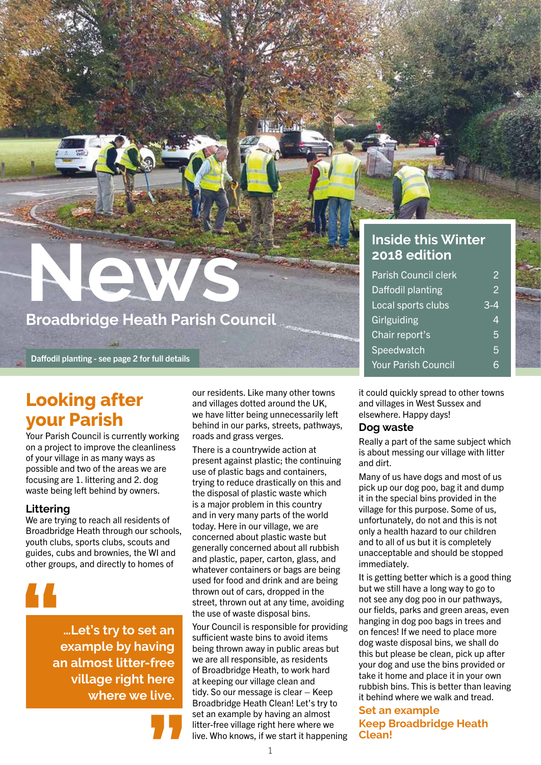## **News Broadbridge Heath Parish Council**

Daffodil planting - see page 2 for full details

## **Looking after your Parish**

Your Parish Council is currently working on a project to improve the cleanliness of your village in as many ways as possible and two of the areas we are focusing are 1. littering and 2. dog waste being left behind by owners.

#### **Littering**

We are trying to reach all residents of Broadbridge Heath through our schools, youth clubs, sports clubs, scouts and guides, cubs and brownies, the WI and other groups, and directly to homes of

**"**

**…Let's try to set an example by having an almost litter-free village right here where we live.**



our residents. Like many other towns and villages dotted around the UK, we have litter being unnecessarily left behind in our parks, streets, pathways, roads and grass verges.

There is a countrywide action at present against plastic; the continuing use of plastic bags and containers, trying to reduce drastically on this and the disposal of plastic waste which is a major problem in this country and in very many parts of the world today. Here in our village, we are concerned about plastic waste but generally concerned about all rubbish and plastic, paper, carton, glass, and whatever containers or bags are being used for food and drink and are being thrown out of cars, dropped in the street, thrown out at any time, avoiding the use of waste disposal bins.

Your Council is responsible for providing sufficient waste bins to avoid items being thrown away in public areas but we are all responsible, as residents of Broadbridge Heath, to work hard at keeping our village clean and tidy. So our message is clear – Keep Broadbridge Heath Clean! Let's try to set an example by having an almost litter-free village right here where we live. Who knows, if we start it happening

#### **Inside this Winter 2018 edition**

| <b>Parish Council clerk</b> | 2 |
|-----------------------------|---|
| Daffodil planting           | 2 |
| Local sports clubs          |   |
| Girlguiding                 | 4 |
| Chair report's              | 5 |
| Speedwatch                  | 5 |
| <b>Your Parish Council</b>  |   |

it could quickly spread to other towns and villages in West Sussex and elsewhere. Happy days!

#### **Dog waste**

Really a part of the same subject which is about messing our village with litter and dirt.

Many of us have dogs and most of us pick up our dog poo, bag it and dump it in the special bins provided in the village for this purpose. Some of us, unfortunately, do not and this is not only a health hazard to our children and to all of us but it is completely unacceptable and should be stopped immediately.

It is getting better which is a good thing but we still have a long way to go to not see any dog poo in our pathways, our fields, parks and green areas, even hanging in dog poo bags in trees and on fences! If we need to place more dog waste disposal bins, we shall do this but please be clean, pick up after your dog and use the bins provided or take it home and place it in your own rubbish bins. This is better than leaving it behind where we walk and tread.

**Set an example Keep Broadbridge Heath Clean!**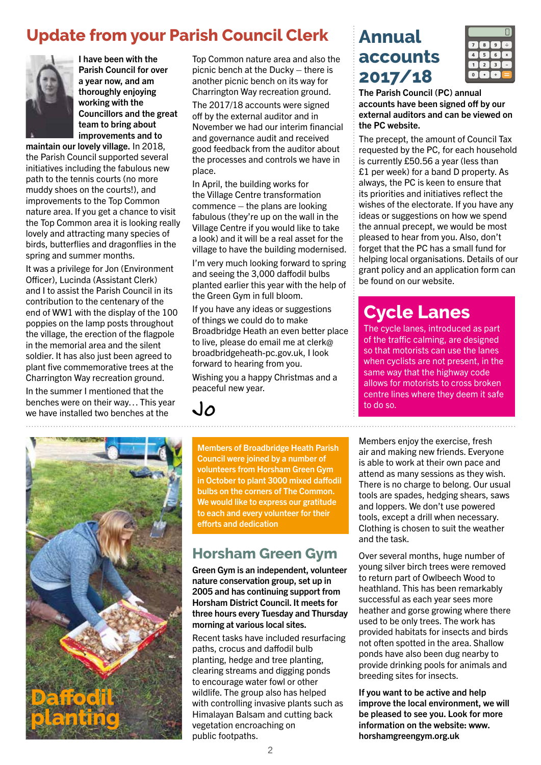## **Update from your Parish Council Clerk**



I have been with the Parish Council for over a year now, and am thoroughly enjoying working with the Councillors and the great team to bring about improvements and to

maintain our lovely village. In 2018, the Parish Council supported several initiatives including the fabulous new path to the tennis courts (no more muddy shoes on the courts!), and improvements to the Top Common nature area. If you get a chance to visit the Top Common area it is looking really lovely and attracting many species of birds, butterflies and dragonflies in the spring and summer months.

It was a privilege for Jon (Environment Officer), Lucinda (Assistant Clerk) and I to assist the Parish Council in its contribution to the centenary of the end of WW1 with the display of the 100 poppies on the lamp posts throughout the village, the erection of the flagpole in the memorial area and the silent soldier. It has also just been agreed to plant five commemorative trees at the Charrington Way recreation ground. In the summer I mentioned that the benches were on their way… This year we have installed two benches at the

Top Common nature area and also the picnic bench at the Ducky – there is another picnic bench on its way for Charrington Way recreation ground. The 2017/18 accounts were signed off by the external auditor and in November we had our interim financial and governance audit and received good feedback from the auditor about the processes and controls we have in place.

In April, the building works for the Village Centre transformation commence – the plans are looking fabulous (they're up on the wall in the Village Centre if you would like to take a look) and it will be a real asset for the village to have the building modernised.

I'm very much looking forward to spring and seeing the 3,000 daffodil bulbs planted earlier this year with the help of the Green Gym in full bloom.

If you have any ideas or suggestions of things we could do to make Broadbridge Heath an even better place to live, please do email me at clerk@ broadbridgeheath-pc.gov.uk, I look forward to hearing from you.

Wishing you a happy Christmas and a peaceful new year.

Jo



Members of Broadbridge Heath Parish Council were joined by a number of volunteers from Horsham Green Gym in October to plant 3000 mixed daffodil bulbs on the corners of The Common. We would like to express our gratitude to each and every volunteer for their efforts and dedication

## **Horsham Green Gym**

Green Gym is an independent, volunteer nature conservation group, set up in 2005 and has continuing support from Horsham District Council. It meets for three hours every Tuesday and Thursday morning at various local sites.

Recent tasks have included resurfacing paths, crocus and daffodil bulb planting, hedge and tree planting, clearing streams and digging ponds to encourage water fowl or other wildlife. The group also has helped with controlling invasive plants such as Himalayan Balsam and cutting back vegetation encroaching on public footpaths.

## **Annual accounts 2017/18**



The Parish Council (PC) annual accounts have been signed off by our external auditors and can be viewed on the PC website.

The precept, the amount of Council Tax requested by the PC, for each household is currently £50.56 a year (less than £1 per week) for a band D property. As always, the PC is keen to ensure that its priorities and initiatives reflect the wishes of the electorate. If you have any ideas or suggestions on how we spend the annual precept, we would be most pleased to hear from you. Also, don't forget that the PC has a small fund for helping local organisations. Details of our grant policy and an application form can be found on our website.

## **Cycle Lanes**

The cycle lanes, introduced as part of the traffic calming, are designed so that motorists can use the lanes when cyclists are not present, in the same way that the highway code allows for motorists to cross broken centre lines where they deem it safe to do so.

Members enjoy the exercise, fresh air and making new friends. Everyone is able to work at their own pace and attend as many sessions as they wish. There is no charge to belong. Our usual tools are spades, hedging shears, saws and loppers. We don't use powered tools, except a drill when necessary. Clothing is chosen to suit the weather and the task.

Over several months, huge number of young silver birch trees were removed to return part of Owlbeech Wood to heathland. This has been remarkably successful as each year sees more heather and gorse growing where there used to be only trees. The work has provided habitats for insects and birds not often spotted in the area. Shallow ponds have also been dug nearby to provide drinking pools for animals and breeding sites for insects.

If you want to be active and help improve the local environment, we will be pleased to see you. Look for more information on the website: www. horshamgreengym.org.uk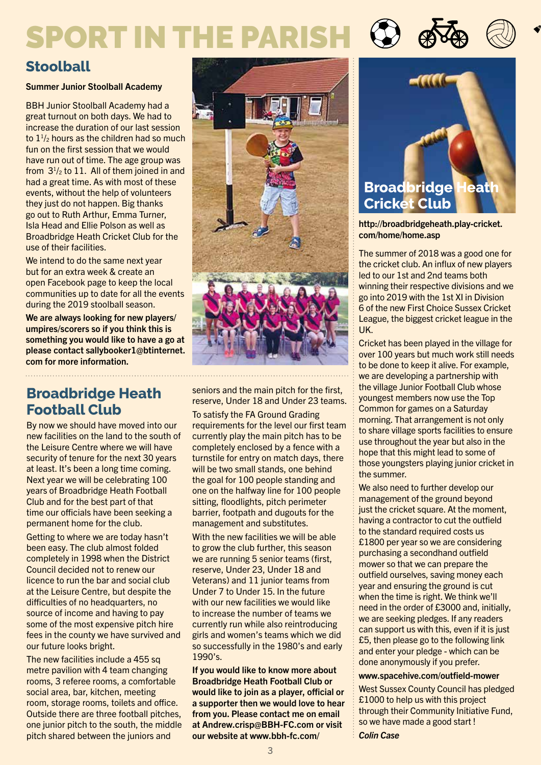## SPORT IN THE PARISH

## **Stoolball**

#### Summer Junior Stoolball Academy

BBH Junior Stoolball Academy had a great turnout on both days. We had to increase the duration of our last session to  $1\frac{1}{2}$  hours as the children had so much fun on the first session that we would have run out of time. The age group was from  $3^{1}/2$  to 11. All of them joined in and had a great time. As with most of these events, without the help of volunteers they just do not happen. Big thanks go out to Ruth Arthur, Emma Turner, Isla Head and Ellie Polson as well as Broadbridge Heath Cricket Club for the use of their facilities.

We intend to do the same next year but for an extra week & create an open Facebook page to keep the local communities up to date for all the events during the 2019 stoolball season.

We are always looking for new players/ umpires/scorers so if you think this is something you would like to have a go at please contact sallybooker1@btinternet. com for more information.

## **Broadbridge Heath Football Club**

By now we should have moved into our new facilities on the land to the south of the Leisure Centre where we will have security of tenure for the next 30 years at least. It's been a long time coming. Next year we will be celebrating 100 years of Broadbridge Heath Football Club and for the best part of that time our officials have been seeking a permanent home for the club.

Getting to where we are today hasn't been easy. The club almost folded completely in 1998 when the District Council decided not to renew our licence to run the bar and social club at the Leisure Centre, but despite the difficulties of no headquarters, no source of income and having to pay some of the most expensive pitch hire fees in the county we have survived and our future looks bright.

The new facilities include a 455 sq metre pavilion with 4 team changing rooms, 3 referee rooms, a comfortable social area, bar, kitchen, meeting room, storage rooms, toilets and office. Outside there are three football pitches, one junior pitch to the south, the middle pitch shared between the juniors and

seniors and the main pitch for the first, reserve, Under 18 and Under 23 teams.

To satisfy the FA Ground Grading requirements for the level our first team currently play the main pitch has to be completely enclosed by a fence with a turnstile for entry on match days, there will be two small stands, one behind the goal for 100 people standing and one on the halfway line for 100 people sitting, floodlights, pitch perimeter barrier, footpath and dugouts for the management and substitutes.

With the new facilities we will be able to grow the club further, this season we are running 5 senior teams (first, reserve, Under 23, Under 18 and Veterans) and 11 junior teams from Under 7 to Under 15. In the future with our new facilities we would like to increase the number of teams we currently run while also reintroducing girls and women's teams which we did so successfully in the 1980's and early 1990's.

If you would like to know more about Broadbridge Heath Football Club or would like to join as a player, official or a supporter then we would love to hear from you. Please contact me on email at Andrew.crisp@BBH-FC.com or visit our website at www.bbh-fc.com/



#### http://broadbridgeheath.play-cricket. com/home/home.asp

The summer of 2018 was a good one for the cricket club. An influx of new players led to our 1st and 2nd teams both winning their respective divisions and we go into 2019 with the 1st XI in Division 6 of the new First Choice Sussex Cricket League, the biggest cricket league in the UK.

Cricket has been played in the village for over 100 years but much work still needs to be done to keep it alive. For example, we are developing a partnership with the village Junior Football Club whose youngest members now use the Top Common for games on a Saturday morning. That arrangement is not only to share village sports facilities to ensure use throughout the year but also in the hope that this might lead to some of those youngsters playing junior cricket in the summer.

We also need to further develop our management of the ground beyond just the cricket square. At the moment, having a contractor to cut the outfield to the standard required costs us £1800 per year so we are considering purchasing a secondhand outfield mower so that we can prepare the outfield ourselves, saving money each year and ensuring the ground is cut when the time is right. We think we'll need in the order of £3000 and, initially, we are seeking pledges. If any readers can support us with this, even if it is just £5, then please go to the following link and enter your pledge - which can be done anonymously if you prefer.

#### www.spacehive.com/outfield-mower

West Sussex County Council has pledged £1000 to help us with this project through their Community Initiative Fund, so we have made a good start !

*Colin Case*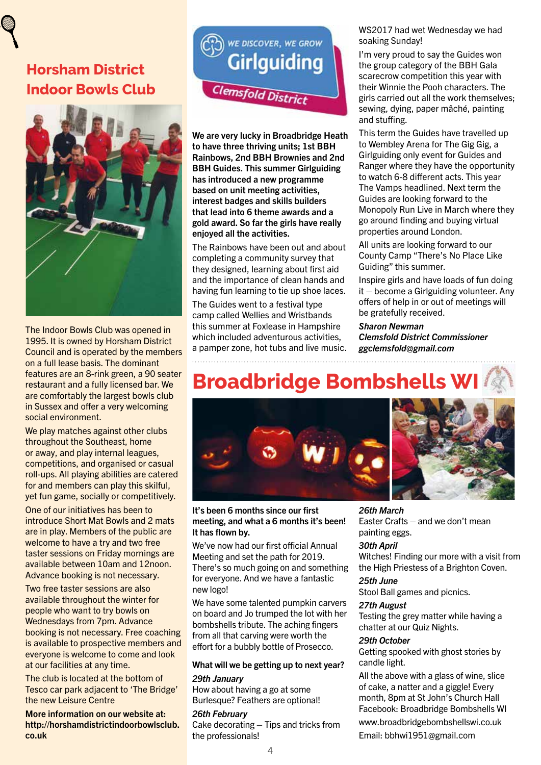## **Horsham District Indoor Bowls Club**



The Indoor Bowls Club was opened in 1995. It is owned by Horsham District Council and is operated by the members on a full lease basis. The dominant features are an 8-rink green, a 90 seater restaurant and a fully licensed bar. We are comfortably the largest bowls club in Sussex and offer a very welcoming social environment.

We play matches against other clubs throughout the Southeast, home or away, and play internal leagues, competitions, and organised or casual roll-ups. All playing abilities are catered for and members can play this skilful, yet fun game, socially or competitively.

One of our initiatives has been to introduce Short Mat Bowls and 2 mats are in play. Members of the public are welcome to have a try and two free taster sessions on Friday mornings are available between 10am and 12noon. Advance booking is not necessary.

Two free taster sessions are also available throughout the winter for people who want to try bowls on Wednesdays from 7pm. Advance booking is not necessary. Free coaching is available to prospective members and everyone is welcome to come and look at our facilities at any time.

The club is located at the bottom of Tesco car park adjacent to 'The Bridge' the new Leisure Centre

More information on our website at: http://horshamdistrictindoorbowlsclub. co.uk



We are very lucky in Broadbridge Heath to have three thriving units; 1st BBH Rainbows, 2nd BBH Brownies and 2nd BBH Guides. This summer Girlguiding has introduced a new programme based on unit meeting activities, interest badges and skills builders that lead into 6 theme awards and a gold award. So far the girls have really enjoyed all the activities.

The Rainbows have been out and about completing a community survey that they designed, learning about first aid and the importance of clean hands and having fun learning to tie up shoe laces.

The Guides went to a festival type camp called Wellies and Wristbands this summer at Foxlease in Hampshire which included adventurous activities. a pamper zone, hot tubs and live music. WS2017 had wet Wednesday we had soaking Sunday!

I'm very proud to say the Guides won the group category of the BBH Gala scarecrow competition this year with their Winnie the Pooh characters. The girls carried out all the work themselves; sewing, dying, paper mâché, painting and stuffing.

This term the Guides have travelled up to Wembley Arena for The Gig Gig, a Girlguiding only event for Guides and Ranger where they have the opportunity to watch 6-8 different acts. This year The Vamps headlined. Next term the Guides are looking forward to the Monopoly Run Live in March where they go around finding and buying virtual properties around London.

All units are looking forward to our County Camp "There's No Place Like Guiding" this summer.

Inspire girls and have loads of fun doing it – become a Girlguiding volunteer. Any offers of help in or out of meetings will be gratefully received.

*Sharon Newman Clemsfold District Commissioner ggclemsfold@gmail.com*

## **Broadbridge Bombshells WI**



#### It's been 6 months since our first meeting, and what a 6 months it's been! It has flown by.

We've now had our first official Annual Meeting and set the path for 2019. There's so much going on and something for everyone. And we have a fantastic new logo!

We have some talented pumpkin carvers on board and Jo trumped the lot with her bombshells tribute. The aching fingers from all that carving were worth the effort for a bubbly bottle of Prosecco.

#### What will we be getting up to next year?

#### *29th January*

How about having a go at some Burlesque? Feathers are optional!

*26th February* Cake decorating – Tips and tricks from the professionals!

#### *26th March*

Easter Crafts – and we don't mean painting eggs.

#### *30th April*

Witches! Finding our more with a visit from the High Priestess of a Brighton Coven.

#### *25th June*

Stool Ball games and picnics.

#### *27th August*

Testing the grey matter while having a chatter at our Quiz Nights.

#### *29th October*

Getting spooked with ghost stories by candle light.

All the above with a glass of wine, slice of cake, a natter and a giggle! Every month, 8pm at St John's Church Hall Facebook: Broadbridge Bombshells WI

www.broadbridgebombshellswi.co.uk

Email: bbhwi1951@gmail.com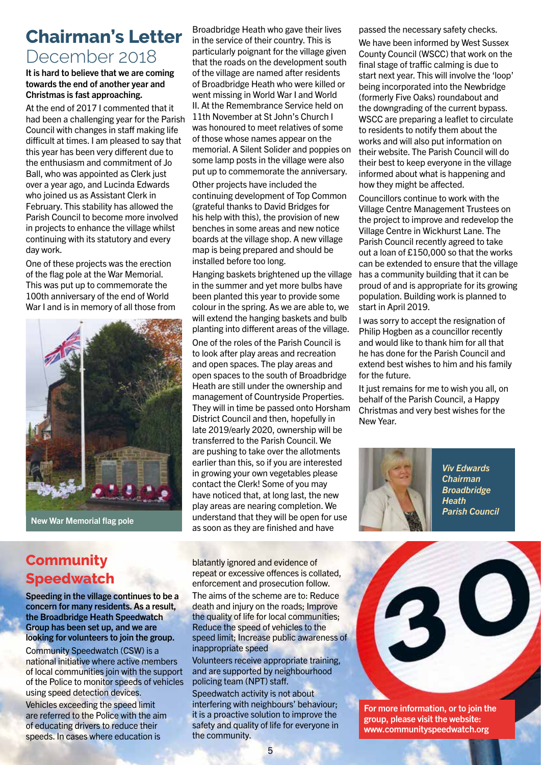## **Chairman's Letter**  December 2018

#### It is hard to believe that we are coming towards the end of another year and Christmas is fast approaching.

At the end of 2017 I commented that it had been a challenging year for the Parish Council with changes in staff making life difficult at times. I am pleased to say that this year has been very different due to the enthusiasm and commitment of Jo Ball, who was appointed as Clerk just over a year ago, and Lucinda Edwards who joined us as Assistant Clerk in February. This stability has allowed the Parish Council to become more involved in projects to enhance the village whilst continuing with its statutory and every day work.

One of these projects was the erection of the flag pole at the War Memorial. This was put up to commemorate the 100th anniversary of the end of World War I and is in memory of all those from



New War Memorial flag pole

Broadbridge Heath who gave their lives in the service of their country. This is particularly poignant for the village given that the roads on the development south of the village are named after residents of Broadbridge Heath who were killed or went missing in World War I and World II. At the Remembrance Service held on 11th November at St John's Church I was honoured to meet relatives of some of those whose names appear on the memorial. A Silent Solider and poppies on some lamp posts in the village were also put up to commemorate the anniversary.

Other projects have included the continuing development of Top Common (grateful thanks to David Bridges for his help with this), the provision of new benches in some areas and new notice boards at the village shop. A new village map is being prepared and should be installed before too long.

Hanging baskets brightened up the village in the summer and yet more bulbs have been planted this year to provide some colour in the spring. As we are able to, we will extend the hanging baskets and bulb planting into different areas of the village.

One of the roles of the Parish Council is to look after play areas and recreation and open spaces. The play areas and open spaces to the south of Broadbridge Heath are still under the ownership and management of Countryside Properties. They will in time be passed onto Horsham District Council and then, hopefully in late 2019/early 2020, ownership will be transferred to the Parish Council. We are pushing to take over the allotments earlier than this, so if you are interested in growing your own vegetables please contact the Clerk! Some of you may have noticed that, at long last, the new play areas are nearing completion. We understand that they will be open for use as soon as they are finished and have

blatantly ignored and evidence of repeat or excessive offences is collated, enforcement and prosecution follow.

The aims of the scheme are to: Reduce death and injury on the roads; Improve the quality of life for local communities; Reduce the speed of vehicles to the speed limit; Increase public awareness of inappropriate speed

Volunteers receive appropriate training, and are supported by neighbourhood policing team (NPT) staff.

Speedwatch activity is not about interfering with neighbours' behaviour; it is a proactive solution to improve the safety and quality of life for everyone in the community.

passed the necessary safety checks.

We have been informed by West Sussex County Council (WSCC) that work on the final stage of traffic calming is due to start next year. This will involve the 'loop' being incorporated into the Newbridge (formerly Five Oaks) roundabout and the downgrading of the current bypass. WSCC are preparing a leaflet to circulate to residents to notify them about the works and will also put information on their website. The Parish Council will do their best to keep everyone in the village informed about what is happening and how they might be affected.

Councillors continue to work with the Village Centre Management Trustees on the project to improve and redevelop the Village Centre in Wickhurst Lane. The Parish Council recently agreed to take out a loan of £150,000 so that the works can be extended to ensure that the village has a community building that it can be proud of and is appropriate for its growing population. Building work is planned to start in April 2019.

I was sorry to accept the resignation of Philip Hogben as a councillor recently and would like to thank him for all that he has done for the Parish Council and extend best wishes to him and his family for the future.

It just remains for me to wish you all, on behalf of the Parish Council, a Happy Christmas and very best wishes for the New Year.



*Viv Edwards Chairman Broadbridge Heath Parish Council*

 $\mathbf O$ 

For more information, or to join the group, please visit the website: www.communityspeedwatch.org

## **Community Speedwatch**

Speeding in the village continues to be a concern for many residents. As a result, the Broadbridge Heath Speedwatch Group has been set up, and we are looking for volunteers to join the group.

Community Speedwatch (CSW) is a national initiative where active members of local communities join with the support of the Police to monitor speeds of vehicles using speed detection devices. Vehicles exceeding the speed limit are referred to the Police with the aim of educating drivers to reduce their speeds. In cases where education is